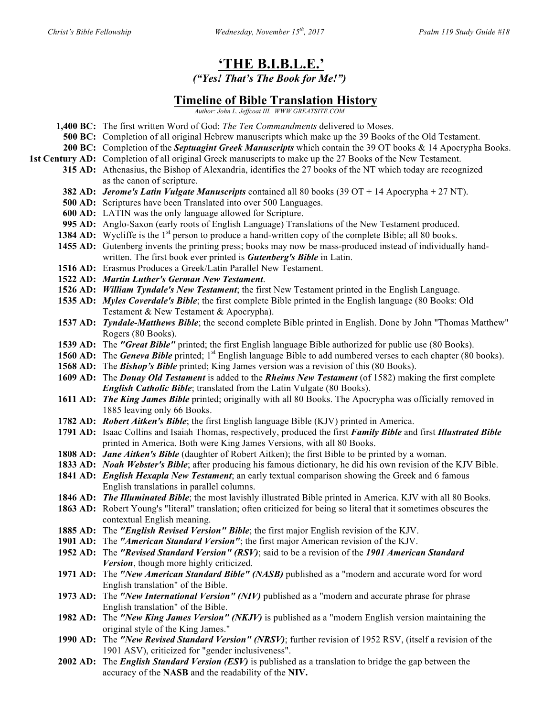# **'THE B.I.B.L.E.'**

*("Yes! That's The Book for Me!")*

## **Timeline of Bible Translation History**

*Author: John L. Jeffcoat III. WWW.GREATSITE.COM*

- **1,400 BC:** The first written Word of God: *The Ten Commandments* delivered to Moses.
	- **500 BC:** Completion of all original Hebrew manuscripts which make up the 39 Books of the Old Testament.
- **200 BC:** Completion of the *Septuagint Greek Manuscripts* which contain the 39 OT books & 14 Apocrypha Books.
- **1st Century AD:** Completion of all original Greek manuscripts to make up the 27 Books of the New Testament.
	- **315 AD:** Athenasius, the Bishop of Alexandria, identifies the 27 books of the NT which today are recognized as the canon of scripture.
		- **382 AD:** *Jerome's Latin Vulgate Manuscripts* contained all 80 books (39 OT + 14 Apocrypha + 27 NT).
		- **500 AD:** Scriptures have been Translated into over 500 Languages.
		- **600 AD:** LATIN was the only language allowed for Scripture.
		- **995 AD:** Anglo-Saxon (early roots of English Language) Translations of the New Testament produced.
		- **1384 AD:** Wycliffe is the 1<sup>st</sup> person to produce a hand-written copy of the complete Bible; all 80 books.
		- **1455 AD:** Gutenberg invents the printing press; books may now be mass-produced instead of individually handwritten. The first book ever printed is *Gutenberg's Bible* in Latin.
		- **1516 AD:** Erasmus Produces a Greek/Latin Parallel New Testament.
		- **1522 AD:** *Martin Luther's German New Testament*.
		- **1526 AD:** *William Tyndale's New Testament*; the first New Testament printed in the English Language.
		- **1535 AD:** *Myles Coverdale's Bible*; the first complete Bible printed in the English language (80 Books: Old Testament & New Testament & Apocrypha).
		- **1537 AD:** *Tyndale-Matthews Bible*; the second complete Bible printed in English. Done by John "Thomas Matthew" Rogers (80 Books).
		- **1539 AD:** The *"Great Bible"* printed; the first English language Bible authorized for public use (80 Books).
		- **1560 AD:** The *Geneva Bible* printed; 1<sup>st</sup> English language Bible to add numbered verses to each chapter (80 books).
		- **1568 AD:** The **Bishop's Bible** printed; King James version was a revision of this (80 Books).
		- **1609 AD:** The *Douay Old Testament* is added to the *Rheims New Testament* (of 1582) making the first complete *English Catholic Bible*; translated from the Latin Vulgate (80 Books).
		- **1611 AD:** *The King James Bible* printed; originally with all 80 Books. The Apocrypha was officially removed in 1885 leaving only 66 Books.
		- **1782 AD:** *Robert Aitken's Bible*; the first English language Bible (KJV) printed in America.
		- **1791 AD:** Isaac Collins and Isaiah Thomas, respectively, produced the first *Family Bible* and first *Illustrated Bible* printed in America. Both were King James Versions, with all 80 Books.
		- **1808 AD:** *Jane Aitken's Bible* (daughter of Robert Aitken); the first Bible to be printed by a woman.
		- **1833 AD:** *Noah Webster's Bible*; after producing his famous dictionary, he did his own revision of the KJV Bible.
		- **1841 AD:** *English Hexapla New Testament*; an early textual comparison showing the Greek and 6 famous English translations in parallel columns.
		- **1846 AD:** *The Illuminated Bible*; the most lavishly illustrated Bible printed in America. KJV with all 80 Books.
		- **1863 AD:** Robert Young's "literal" translation; often criticized for being so literal that it sometimes obscures the contextual English meaning.
		- **1885 AD:** The *"English Revised Version" Bible*; the first major English revision of the KJV.
		- **1901 AD:** The *"American Standard Version"*; the first major American revision of the KJV.
		- **1952 AD:** The *"Revised Standard Version" (RSV)*; said to be a revision of the *1901 American Standard Version*, though more highly criticized.
		- **1971 AD:** The *"New American Standard Bible" (NASB)* published as a "modern and accurate word for word English translation" of the Bible.
		- **1973 AD:** The *"New International Version" (NIV)* published as a "modern and accurate phrase for phrase English translation" of the Bible.
		- **1982 AD:** The *"New King James Version" (NKJV)* is published as a "modern English version maintaining the original style of the King James."
		- **1990 AD:** The *"New Revised Standard Version" (NRSV)*; further revision of 1952 RSV, (itself a revision of the 1901 ASV), criticized for "gender inclusiveness".
		- **2002 AD:** The *English Standard Version (ESV)* is published as a translation to bridge the gap between the accuracy of the **NASB** and the readability of the **NIV.**